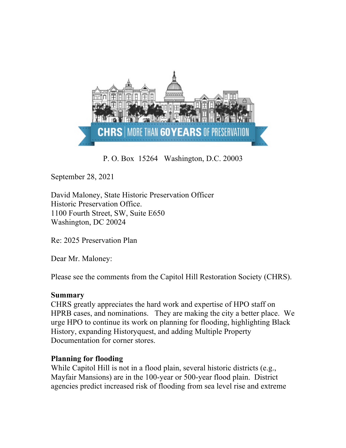

P. O. Box 15264 Washington, D.C. 20003

September 28, 2021

David Maloney, State Historic Preservation Officer Historic Preservation Office. 1100 Fourth Street, SW, Suite E650 Washington, DC 20024

Re: 2025 Preservation Plan

Dear Mr. Maloney:

Please see the comments from the Capitol Hill Restoration Society (CHRS).

## **Summary**

CHRS greatly appreciates the hard work and expertise of HPO staff on HPRB cases, and nominations. They are making the city a better place. We urge HPO to continue its work on planning for flooding, highlighting Black History, expanding Historyquest, and adding Multiple Property Documentation for corner stores.

## **Planning for flooding**

While Capitol Hill is not in a flood plain, several historic districts (e.g., Mayfair Mansions) are in the 100-year or 500-year flood plain. District agencies predict increased risk of flooding from sea level rise and extreme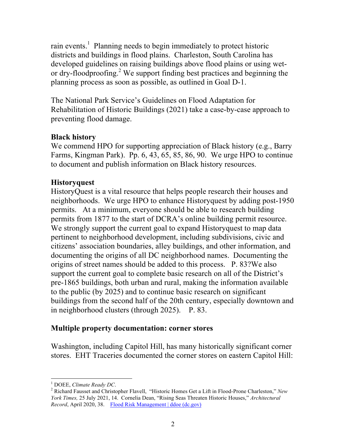rain events.<sup>1</sup> Planning needs to begin immediately to protect historic districts and buildings in flood plains. Charleston, South Carolina has developed guidelines on raising buildings above flood plains or using wetor dry-floodproofing. <sup>2</sup> We support finding best practices and beginning the planning process as soon as possible, as outlined in Goal D-1.

The National Park Service's Guidelines on Flood Adaptation for Rehabilitation of Historic Buildings (2021) take a case-by-case approach to preventing flood damage.

# **Black history**

We commend HPO for supporting appreciation of Black history (e.g., Barry Farms, Kingman Park). Pp. 6, 43, 65, 85, 86, 90. We urge HPO to continue to document and publish information on Black history resources.

# **Historyquest**

HistoryQuest is a vital resource that helps people research their houses and neighborhoods. We urge HPO to enhance Historyquest by adding post-1950 permits. At a minimum, everyone should be able to research building permits from 1877 to the start of DCRA's online building permit resource. We strongly support the current goal to expand Historyquest to map data pertinent to neighborhood development, including subdivisions, civic and citizens' association boundaries, alley buildings, and other information, and documenting the origins of all DC neighborhood names. Documenting the origins of street names should be added to this process. P. 83?We also support the current goal to complete basic research on all of the District's pre-1865 buildings, both urban and rural, making the information available to the public (by 2025) and to continue basic research on significant buildings from the second half of the 20th century, especially downtown and in neighborhood clusters (through 2025). P. 83.

# **Multiple property documentation: corner stores**

Washington, including Capitol Hill, has many historically significant corner stores. EHT Traceries documented the corner stores on eastern Capitol Hill:

<sup>&</sup>lt;sup>1</sup> DOEE, *Climate Ready DC*.<br><sup>2</sup> Richard Fausset and Christopher Flavell, "Historic Homes Get a Lift in Flood-Prone Charleston," *New York Times,* 25 July 2021, 14. Cornelia Dean, "Rising Seas Threaten Historic Houses," *Architectural Record*, April 2020, 38. Flood Risk Management | ddoe (dc.gov)